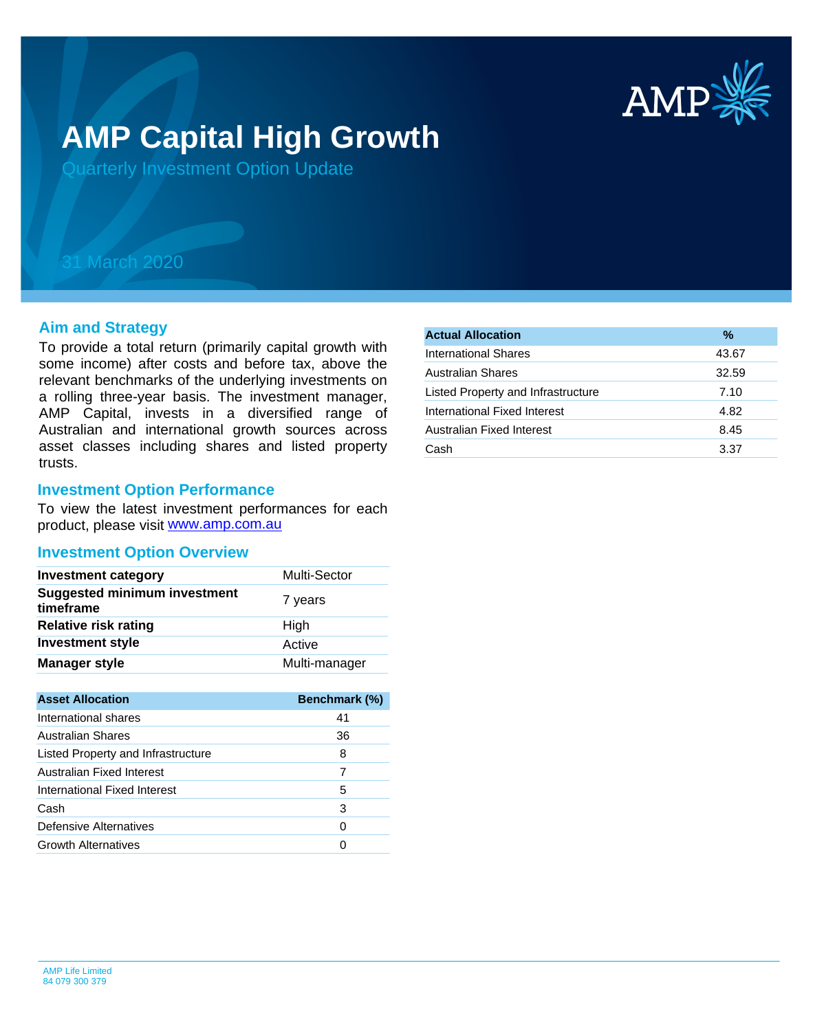

# **AMP Capital High Growth**

Quarterly Investment Option Update

## 31 March 2020

#### **Aim and Strategy**

To provide a total return (primarily capital growth with some income) after costs and before tax, above the relevant benchmarks of the underlying investments on a rolling three-year basis. The investment manager, AMP Capital, invests in a diversified range of Australian and international growth sources across asset classes including shares and listed property trusts.

#### **Investment Option Performance**

product, please visit [www.amp.com.au](https://www.amp.com.au) To view the latest investment performances for each

#### **Investment Option Overview**

| <b>Investment category</b>                       | <b>Multi-Sector</b> |
|--------------------------------------------------|---------------------|
| <b>Suggested minimum investment</b><br>timeframe | 7 years             |
| <b>Relative risk rating</b>                      | High                |
| <b>Investment style</b>                          | Active              |
| <b>Manager style</b>                             | Multi-manager       |

| <b>Asset Allocation</b>            | <b>Benchmark (%)</b> |
|------------------------------------|----------------------|
| International shares               | 41                   |
| Australian Shares                  | 36                   |
| Listed Property and Infrastructure | 8                    |
| Australian Fixed Interest          |                      |
| International Fixed Interest       | 5                    |
| Cash                               | 3                    |
| Defensive Alternatives             | 0                    |
| <b>Growth Alternatives</b>         |                      |

| %     |
|-------|
| 43.67 |
| 32.59 |
| 7.10  |
| 4.82  |
| 8.45  |
| 3.37  |
|       |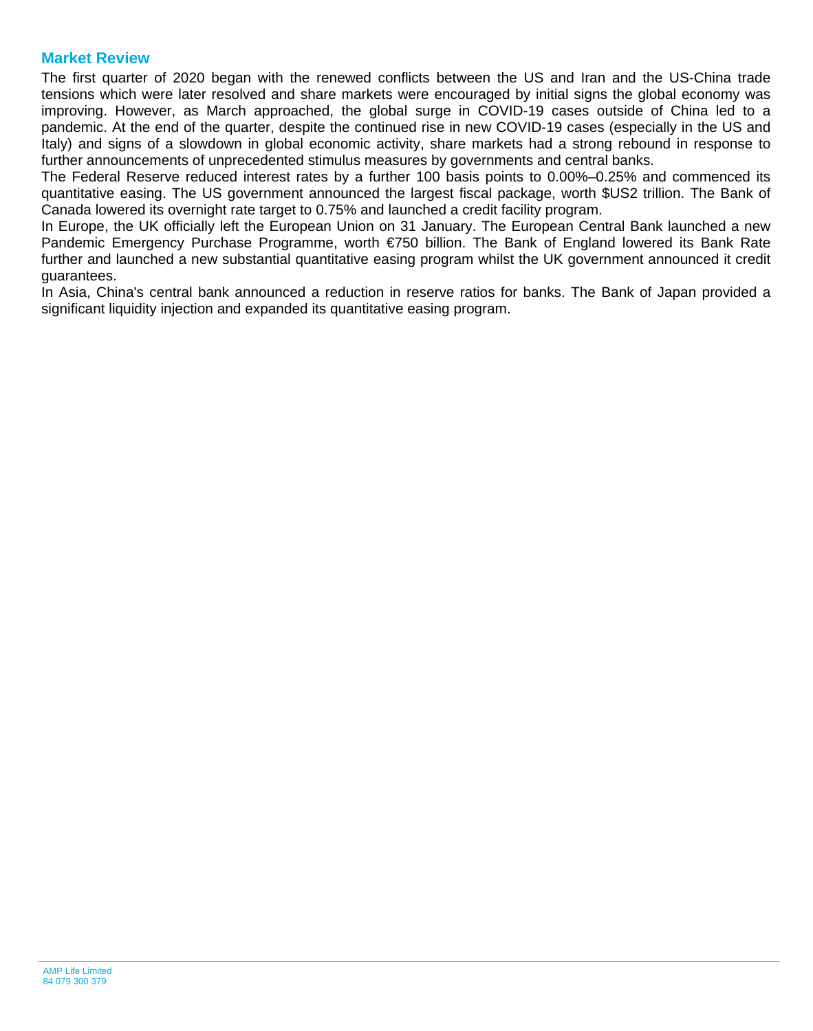#### **Market Review**

The first quarter of 2020 began with the renewed conflicts between the US and Iran and the US-China trade tensions which were later resolved and share markets were encouraged by initial signs the global economy was improving. However, as March approached, the global surge in COVID-19 cases outside of China led to a pandemic. At the end of the quarter, despite the continued rise in new COVID-19 cases (especially in the US and Italy) and signs of a slowdown in global economic activity, share markets had a strong rebound in response to further announcements of unprecedented stimulus measures by governments and central banks.

The Federal Reserve reduced interest rates by a further 100 basis points to 0.00%–0.25% and commenced its quantitative easing. The US government announced the largest fiscal package, worth \$US2 trillion. The Bank of Canada lowered its overnight rate target to 0.75% and launched a credit facility program.

In Europe, the UK officially left the European Union on 31 January. The European Central Bank launched a new Pandemic Emergency Purchase Programme, worth €750 billion. The Bank of England lowered its Bank Rate further and launched a new substantial quantitative easing program whilst the UK government announced it credit guarantees.

In Asia, China's central bank announced a reduction in reserve ratios for banks. The Bank of Japan provided a significant liquidity injection and expanded its quantitative easing program.